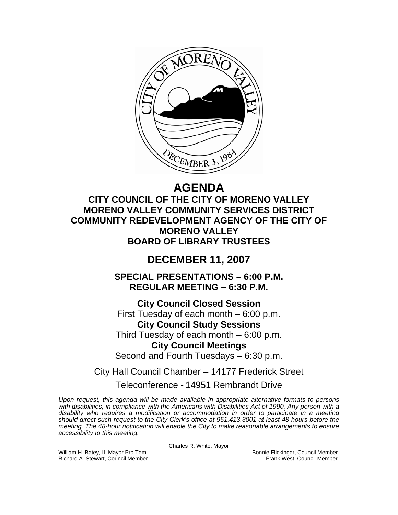

# **AGENDA**

**CITY COUNCIL OF THE CITY OF MORENO VALLEY MORENO VALLEY COMMUNITY SERVICES DISTRICT COMMUNITY REDEVELOPMENT AGENCY OF THE CITY OF MORENO VALLEY BOARD OF LIBRARY TRUSTEES** 

# **DECEMBER 11, 2007**

**SPECIAL PRESENTATIONS – 6:00 P.M. REGULAR MEETING – 6:30 P.M.** 

**City Council Closed Session**  First Tuesday of each month – 6:00 p.m. **City Council Study Sessions**  Third Tuesday of each month – 6:00 p.m. **City Council Meetings** 

Second and Fourth Tuesdays – 6:30 p.m.

City Hall Council Chamber – 14177 Frederick Street

# Teleconference - 14951 Rembrandt Drive

*Upon request, this agenda will be made available in appropriate alternative formats to persons with disabilities, in compliance with the Americans with Disabilities Act of 1990. Any person with a disability who requires a modification or accommodation in order to participate in a meeting should direct such request to the City Clerk's office at 951.413.3001 at least 48 hours before the meeting. The 48-hour notification will enable the City to make reasonable arrangements to ensure accessibility to this meeting.* 

Charles R. White, Mayor

William H. Batey, II, Mayor Pro Tem Bonnie Flickinger, Council Member

Richard A. Stewart, Council Member **Frank West, Council Member** Frank West, Council Member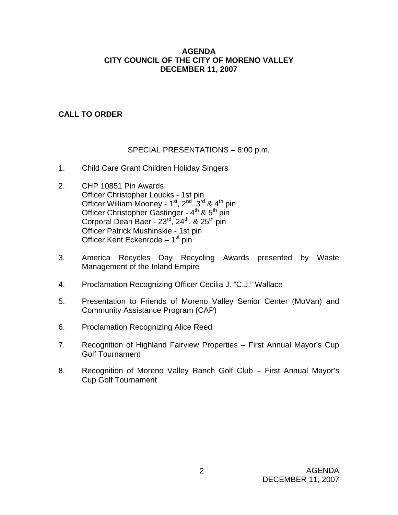#### **AGENDA CITY COUNCIL OF THE CITY OF MORENO VALLEY DECEMBER 11, 2007**

# **CALL TO ORDER**

#### SPECIAL PRESENTATIONS – 6:00 p.m.

- 1. Child Care Grant Children Holiday Singers
- 2. CHP 10851 Pin Awards Officer Christopher Loucks - 1st pin Officer William Mooney -  $1^{st}$ ,  $2^{nd}$ ,  $3^{rd}$  &  $4^{th}$  pin Officer Christopher Gastinger - 4<sup>th</sup> & 5<sup>th</sup> pin Corporal Dean Baer -  $23<sup>rd</sup>$ ,  $24<sup>th</sup>$ , &  $25<sup>th</sup>$  pin Officer Patrick Mushinskie - 1st pin Officer Kent Eckenrode  $-1<sup>st</sup>$  pin
- 3. America Recycles Day Recycling Awards presented by Waste Management of the Inland Empire
- 4. Proclamation Recognizing Officer Cecilia J. "C.J." Wallace
- 5. Presentation to Friends of Moreno Valley Senior Center (MoVan) and Community Assistance Program (CAP)
- 6. Proclamation Recognizing Alice Reed
- 7. Recognition of Highland Fairview Properties First Annual Mayor's Cup Golf Tournament
- 8. Recognition of Moreno Valley Ranch Golf Club First Annual Mayor's Cup Golf Tournament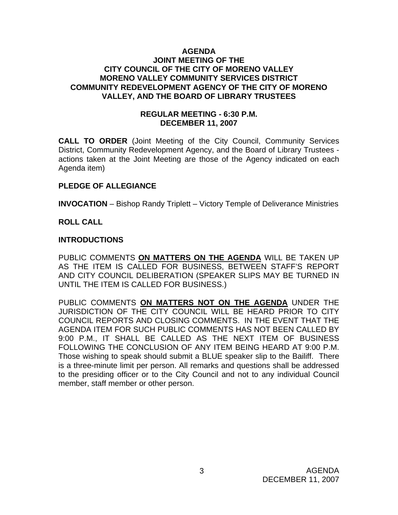#### **AGENDA JOINT MEETING OF THE CITY COUNCIL OF THE CITY OF MORENO VALLEY MORENO VALLEY COMMUNITY SERVICES DISTRICT COMMUNITY REDEVELOPMENT AGENCY OF THE CITY OF MORENO VALLEY, AND THE BOARD OF LIBRARY TRUSTEES**

#### **REGULAR MEETING - 6:30 P.M. DECEMBER 11, 2007**

**CALL TO ORDER** (Joint Meeting of the City Council, Community Services District, Community Redevelopment Agency, and the Board of Library Trustees actions taken at the Joint Meeting are those of the Agency indicated on each Agenda item)

#### **PLEDGE OF ALLEGIANCE**

**INVOCATION** – Bishop Randy Triplett – Victory Temple of Deliverance Ministries

#### **ROLL CALL**

#### **INTRODUCTIONS**

PUBLIC COMMENTS **ON MATTERS ON THE AGENDA** WILL BE TAKEN UP AS THE ITEM IS CALLED FOR BUSINESS, BETWEEN STAFF'S REPORT AND CITY COUNCIL DELIBERATION (SPEAKER SLIPS MAY BE TURNED IN UNTIL THE ITEM IS CALLED FOR BUSINESS.)

PUBLIC COMMENTS **ON MATTERS NOT ON THE AGENDA** UNDER THE JURISDICTION OF THE CITY COUNCIL WILL BE HEARD PRIOR TO CITY COUNCIL REPORTS AND CLOSING COMMENTS. IN THE EVENT THAT THE AGENDA ITEM FOR SUCH PUBLIC COMMENTS HAS NOT BEEN CALLED BY 9:00 P.M., IT SHALL BE CALLED AS THE NEXT ITEM OF BUSINESS FOLLOWING THE CONCLUSION OF ANY ITEM BEING HEARD AT 9:00 P.M. Those wishing to speak should submit a BLUE speaker slip to the Bailiff. There is a three-minute limit per person. All remarks and questions shall be addressed to the presiding officer or to the City Council and not to any individual Council member, staff member or other person.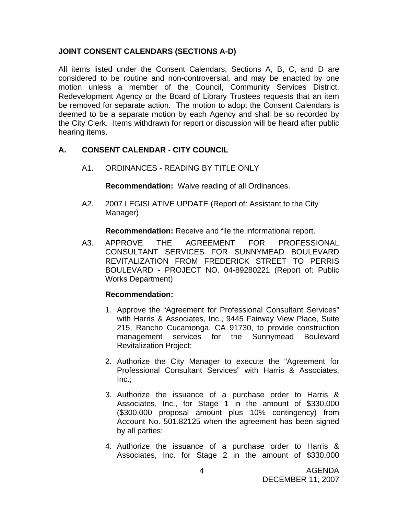#### **JOINT CONSENT CALENDARS (SECTIONS A-D)**

All items listed under the Consent Calendars, Sections A, B, C, and D are considered to be routine and non-controversial, and may be enacted by one motion unless a member of the Council, Community Services District, Redevelopment Agency or the Board of Library Trustees requests that an item be removed for separate action. The motion to adopt the Consent Calendars is deemed to be a separate motion by each Agency and shall be so recorded by the City Clerk. Items withdrawn for report or discussion will be heard after public hearing items.

#### **A. CONSENT CALENDAR** - **CITY COUNCIL**

A1. ORDINANCES - READING BY TITLE ONLY

**Recommendation:** Waive reading of all Ordinances.

A2. 2007 LEGISLATIVE UPDATE (Report of: Assistant to the City Manager)

**Recommendation:** Receive and file the informational report.

A3. APPROVE THE AGREEMENT FOR PROFESSIONAL CONSULTANT SERVICES FOR SUNNYMEAD BOULEVARD REVITALIZATION FROM FREDERICK STREET TO PERRIS BOULEVARD - PROJECT NO. 04-89280221 (Report of: Public Works Department)

#### **Recommendation:**

- 1. Approve the "Agreement for Professional Consultant Services" with Harris & Associates, Inc., 9445 Fairway View Place, Suite 215, Rancho Cucamonga, CA 91730, to provide construction management services for the Sunnymead Boulevard Revitalization Project;
- 2. Authorize the City Manager to execute the "Agreement for Professional Consultant Services" with Harris & Associates, Inc.;
- 3. Authorize the issuance of a purchase order to Harris & Associates, Inc., for Stage 1 in the amount of \$330,000 (\$300,000 proposal amount plus 10% contingency) from Account No. 501.82125 when the agreement has been signed by all parties;
- 4. Authorize the issuance of a purchase order to Harris & Associates, Inc. for Stage 2 in the amount of \$330,000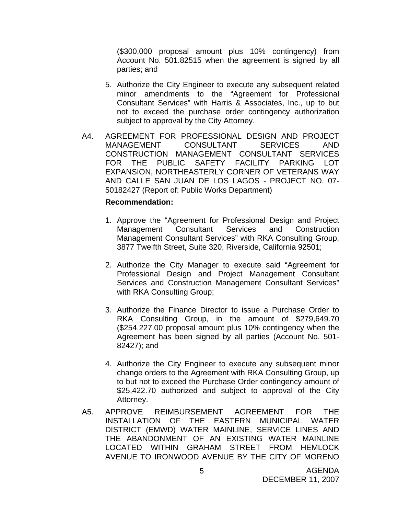(\$300,000 proposal amount plus 10% contingency) from Account No. 501.82515 when the agreement is signed by all parties; and

- 5. Authorize the City Engineer to execute any subsequent related minor amendments to the "Agreement for Professional Consultant Services" with Harris & Associates, Inc., up to but not to exceed the purchase order contingency authorization subject to approval by the City Attorney.
- A4. AGREEMENT FOR PROFESSIONAL DESIGN AND PROJECT MANAGEMENT CONSULTANT SERVICES AND CONSTRUCTION MANAGEMENT CONSULTANT SERVICES FOR THE PUBLIC SAFETY FACILITY PARKING LOT EXPANSION, NORTHEASTERLY CORNER OF VETERANS WAY AND CALLE SAN JUAN DE LOS LAGOS - PROJECT NO. 07- 50182427 (Report of: Public Works Department)

#### **Recommendation:**

- 1. Approve the "Agreement for Professional Design and Project Management Consultant Services and Construction Management Consultant Services" with RKA Consulting Group, 3877 Twelfth Street, Suite 320, Riverside, California 92501;
- 2. Authorize the City Manager to execute said "Agreement for Professional Design and Project Management Consultant Services and Construction Management Consultant Services" with RKA Consulting Group;
- 3. Authorize the Finance Director to issue a Purchase Order to RKA Consulting Group, in the amount of \$279,649.70 (\$254,227.00 proposal amount plus 10% contingency when the Agreement has been signed by all parties (Account No. 501- 82427); and
- 4. Authorize the City Engineer to execute any subsequent minor change orders to the Agreement with RKA Consulting Group, up to but not to exceed the Purchase Order contingency amount of \$25,422.70 authorized and subject to approval of the City Attorney.
- A5. APPROVE REIMBURSEMENT AGREEMENT FOR THE INSTALLATION OF THE EASTERN MUNICIPAL WATER DISTRICT (EMWD) WATER MAINLINE, SERVICE LINES AND THE ABANDONMENT OF AN EXISTING WATER MAINLINE LOCATED WITHIN GRAHAM STREET FROM HEMLOCK AVENUE TO IRONWOOD AVENUE BY THE CITY OF MORENO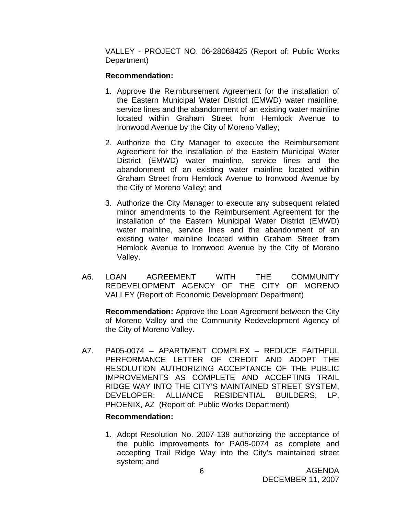VALLEY - PROJECT NO. 06-28068425 (Report of: Public Works Department)

#### **Recommendation:**

- 1. Approve the Reimbursement Agreement for the installation of the Eastern Municipal Water District (EMWD) water mainline, service lines and the abandonment of an existing water mainline located within Graham Street from Hemlock Avenue to Ironwood Avenue by the City of Moreno Valley;
- 2. Authorize the City Manager to execute the Reimbursement Agreement for the installation of the Eastern Municipal Water District (EMWD) water mainline, service lines and the abandonment of an existing water mainline located within Graham Street from Hemlock Avenue to Ironwood Avenue by the City of Moreno Valley; and
- 3. Authorize the City Manager to execute any subsequent related minor amendments to the Reimbursement Agreement for the installation of the Eastern Municipal Water District (EMWD) water mainline, service lines and the abandonment of an existing water mainline located within Graham Street from Hemlock Avenue to Ironwood Avenue by the City of Moreno Valley.
- A6. LOAN AGREEMENT WITH THE COMMUNITY REDEVELOPMENT AGENCY OF THE CITY OF MORENO VALLEY (Report of: Economic Development Department)

**Recommendation:** Approve the Loan Agreement between the City of Moreno Valley and the Community Redevelopment Agency of the City of Moreno Valley.

A7. PA05-0074 – APARTMENT COMPLEX – REDUCE FAITHFUL PERFORMANCE LETTER OF CREDIT AND ADOPT THE RESOLUTION AUTHORIZING ACCEPTANCE OF THE PUBLIC IMPROVEMENTS AS COMPLETE AND ACCEPTING TRAIL RIDGE WAY INTO THE CITY'S MAINTAINED STREET SYSTEM, DEVELOPER: ALLIANCE RESIDENTIAL BUILDERS, LP, PHOENIX, AZ (Report of: Public Works Department)

#### **Recommendation:**

1. Adopt Resolution No. 2007-138 authorizing the acceptance of the public improvements for PA05-0074 as complete and accepting Trail Ridge Way into the City's maintained street system; and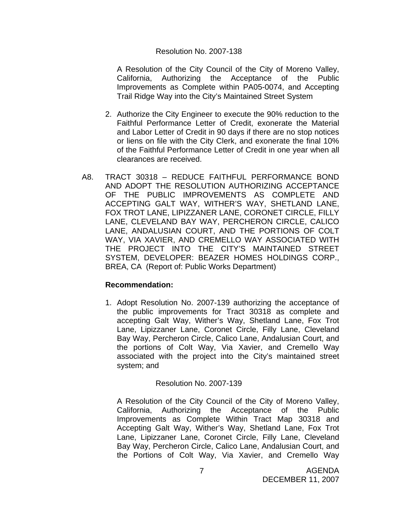#### Resolution No. 2007-138

A Resolution of the City Council of the City of Moreno Valley, California, Authorizing the Acceptance of the Public Improvements as Complete within PA05-0074, and Accepting Trail Ridge Way into the City's Maintained Street System

- 2. Authorize the City Engineer to execute the 90% reduction to the Faithful Performance Letter of Credit, exonerate the Material and Labor Letter of Credit in 90 days if there are no stop notices or liens on file with the City Clerk, and exonerate the final 10% of the Faithful Performance Letter of Credit in one year when all clearances are received.
- A8. TRACT 30318 REDUCE FAITHFUL PERFORMANCE BOND AND ADOPT THE RESOLUTION AUTHORIZING ACCEPTANCE OF THE PUBLIC IMPROVEMENTS AS COMPLETE AND ACCEPTING GALT WAY, WITHER'S WAY, SHETLAND LANE, FOX TROT LANE, LIPIZZANER LANE, CORONET CIRCLE, FILLY LANE, CLEVELAND BAY WAY, PERCHERON CIRCLE, CALICO LANE, ANDALUSIAN COURT, AND THE PORTIONS OF COLT WAY, VIA XAVIER, AND CREMELLO WAY ASSOCIATED WITH THE PROJECT INTO THE CITY'S MAINTAINED STREET SYSTEM, DEVELOPER: BEAZER HOMES HOLDINGS CORP., BREA, CA (Report of: Public Works Department)

#### **Recommendation:**

1. Adopt Resolution No. 2007-139 authorizing the acceptance of the public improvements for Tract 30318 as complete and accepting Galt Way, Wither's Way, Shetland Lane, Fox Trot Lane, Lipizzaner Lane, Coronet Circle, Filly Lane, Cleveland Bay Way, Percheron Circle, Calico Lane, Andalusian Court, and the portions of Colt Way, Via Xavier, and Cremello Way associated with the project into the City's maintained street system; and

#### Resolution No. 2007-139

A Resolution of the City Council of the City of Moreno Valley, California, Authorizing the Acceptance of the Public Improvements as Complete Within Tract Map 30318 and Accepting Galt Way, Wither's Way, Shetland Lane, Fox Trot Lane, Lipizzaner Lane, Coronet Circle, Filly Lane, Cleveland Bay Way, Percheron Circle, Calico Lane, Andalusian Court, and the Portions of Colt Way, Via Xavier, and Cremello Way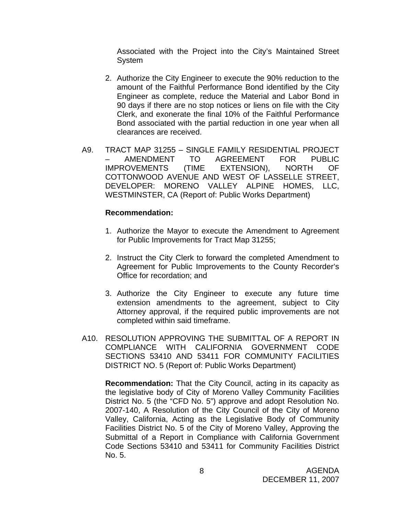Associated with the Project into the City's Maintained Street System

- 2. Authorize the City Engineer to execute the 90% reduction to the amount of the Faithful Performance Bond identified by the City Engineer as complete, reduce the Material and Labor Bond in 90 days if there are no stop notices or liens on file with the City Clerk, and exonerate the final 10% of the Faithful Performance Bond associated with the partial reduction in one year when all clearances are received.
- A9. TRACT MAP 31255 SINGLE FAMILY RESIDENTIAL PROJECT – AMENDMENT TO AGREEMENT FOR PUBLIC IMPROVEMENTS (TIME EXTENSION), NORTH OF COTTONWOOD AVENUE AND WEST OF LASSELLE STREET, DEVELOPER: MORENO VALLEY ALPINE HOMES, LLC, WESTMINSTER, CA (Report of: Public Works Department)

#### **Recommendation:**

- 1. Authorize the Mayor to execute the Amendment to Agreement for Public Improvements for Tract Map 31255;
- 2. Instruct the City Clerk to forward the completed Amendment to Agreement for Public Improvements to the County Recorder's Office for recordation; and
- 3. Authorize the City Engineer to execute any future time extension amendments to the agreement, subject to City Attorney approval, if the required public improvements are not completed within said timeframe.
- A10. RESOLUTION APPROVING THE SUBMITTAL OF A REPORT IN COMPLIANCE WITH CALIFORNIA GOVERNMENT CODE SECTIONS 53410 AND 53411 FOR COMMUNITY FACILITIES DISTRICT NO. 5 (Report of: Public Works Department)

 **Recommendation:** That the City Council, acting in its capacity as the legislative body of City of Moreno Valley Community Facilities District No. 5 (the "CFD No. 5") approve and adopt Resolution No. 2007-140, A Resolution of the City Council of the City of Moreno Valley, California, Acting as the Legislative Body of Community Facilities District No. 5 of the City of Moreno Valley, Approving the Submittal of a Report in Compliance with California Government Code Sections 53410 and 53411 for Community Facilities District No. 5.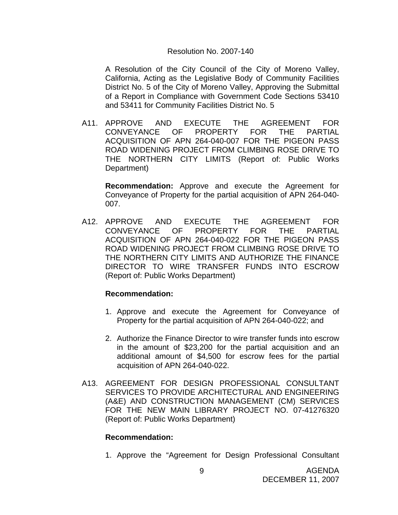#### Resolution No. 2007-140

A Resolution of the City Council of the City of Moreno Valley, California, Acting as the Legislative Body of Community Facilities District No. 5 of the City of Moreno Valley, Approving the Submittal of a Report in Compliance with Government Code Sections 53410 and 53411 for Community Facilities District No. 5

A11. APPROVE AND EXECUTE THE AGREEMENT FOR<br>CONVEYANCE OF PROPERTY FOR THE PARTIAL OF PROPERTY FOR THE PARTIAL ACQUISITION OF APN 264-040-007 FOR THE PIGEON PASS ROAD WIDENING PROJECT FROM CLIMBING ROSE DRIVE TO THE NORTHERN CITY LIMITS (Report of: Public Works Department)

**Recommendation:** Approve and execute the Agreement for Conveyance of Property for the partial acquisition of APN 264-040- 007.

A12. APPROVE AND EXECUTE THE AGREEMENT FOR CONVEYANCE OF PROPERTY FOR THE PARTIAL ACQUISITION OF APN 264-040-022 FOR THE PIGEON PASS ROAD WIDENING PROJECT FROM CLIMBING ROSE DRIVE TO THE NORTHERN CITY LIMITS AND AUTHORIZE THE FINANCE DIRECTOR TO WIRE TRANSFER FUNDS INTO ESCROW (Report of: Public Works Department)

#### **Recommendation:**

- 1. Approve and execute the Agreement for Conveyance of Property for the partial acquisition of APN 264-040-022; and
- 2. Authorize the Finance Director to wire transfer funds into escrow in the amount of \$23,200 for the partial acquisition and an additional amount of \$4,500 for escrow fees for the partial acquisition of APN 264-040-022.
- A13. AGREEMENT FOR DESIGN PROFESSIONAL CONSULTANT SERVICES TO PROVIDE ARCHITECTURAL AND ENGINEERING (A&E) AND CONSTRUCTION MANAGEMENT (CM) SERVICES FOR THE NEW MAIN LIBRARY PROJECT NO. 07-41276320 (Report of: Public Works Department)

#### **Recommendation:**

1. Approve the "Agreement for Design Professional Consultant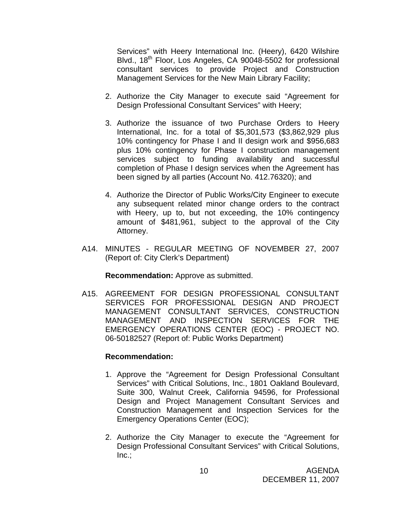Services" with Heery International Inc. (Heery), 6420 Wilshire Blvd., 18<sup>th</sup> Floor, Los Angeles, CA 90048-5502 for professional consultant services to provide Project and Construction Management Services for the New Main Library Facility;

- 2. Authorize the City Manager to execute said "Agreement for Design Professional Consultant Services" with Heery;
- 3. Authorize the issuance of two Purchase Orders to Heery International, Inc. for a total of \$5,301,573 (\$3,862,929 plus 10% contingency for Phase I and II design work and \$956,683 plus 10% contingency for Phase I construction management services subject to funding availability and successful completion of Phase I design services when the Agreement has been signed by all parties (Account No. 412.76320); and
- 4. Authorize the Director of Public Works/City Engineer to execute any subsequent related minor change orders to the contract with Heery, up to, but not exceeding, the 10% contingency amount of \$481,961, subject to the approval of the City Attorney.
- A14. MINUTES REGULAR MEETING OF NOVEMBER 27, 2007 (Report of: City Clerk's Department)

**Recommendation:** Approve as submitted.

A15. AGREEMENT FOR DESIGN PROFESSIONAL CONSULTANT SERVICES FOR PROFESSIONAL DESIGN AND PROJECT MANAGEMENT CONSULTANT SERVICES, CONSTRUCTION MANAGEMENT AND INSPECTION SERVICES FOR THE EMERGENCY OPERATIONS CENTER (EOC) - PROJECT NO. 06-50182527 (Report of: Public Works Department)

#### **Recommendation:**

- 1. Approve the "Agreement for Design Professional Consultant Services" with Critical Solutions, Inc., 1801 Oakland Boulevard, Suite 300, Walnut Creek, California 94596, for Professional Design and Project Management Consultant Services and Construction Management and Inspection Services for the Emergency Operations Center (EOC);
- 2. Authorize the City Manager to execute the "Agreement for Design Professional Consultant Services" with Critical Solutions,  $Inc.$ ;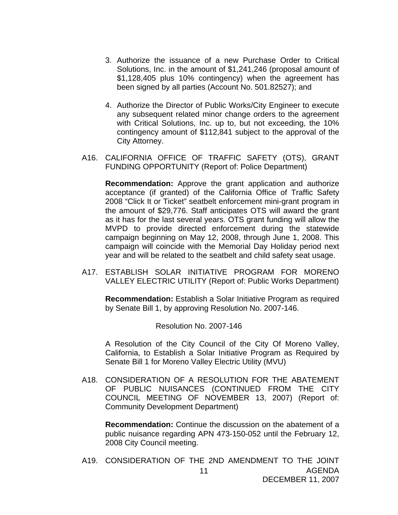- 3. Authorize the issuance of a new Purchase Order to Critical Solutions, Inc. in the amount of \$1,241,246 (proposal amount of \$1,128,405 plus 10% contingency) when the agreement has been signed by all parties (Account No. 501.82527); and
- 4. Authorize the Director of Public Works/City Engineer to execute any subsequent related minor change orders to the agreement with Critical Solutions, Inc. up to, but not exceeding, the 10% contingency amount of \$112,841 subject to the approval of the City Attorney.
- A16. CALIFORNIA OFFICE OF TRAFFIC SAFETY (OTS), GRANT FUNDING OPPORTUNITY (Report of: Police Department)

**Recommendation:** Approve the grant application and authorize acceptance (if granted) of the California Office of Traffic Safety 2008 "Click It or Ticket" seatbelt enforcement mini-grant program in the amount of \$29,776. Staff anticipates OTS will award the grant as it has for the last several years. OTS grant funding will allow the MVPD to provide directed enforcement during the statewide campaign beginning on May 12, 2008, through June 1, 2008. This campaign will coincide with the Memorial Day Holiday period next year and will be related to the seatbelt and child safety seat usage.

A17. ESTABLISH SOLAR INITIATIVE PROGRAM FOR MORENO VALLEY ELECTRIC UTILITY (Report of: Public Works Department)

 **Recommendation:** Establish a Solar Initiative Program as required by Senate Bill 1, by approving Resolution No. 2007-146.

Resolution No. 2007-146

A Resolution of the City Council of the City Of Moreno Valley, California, to Establish a Solar Initiative Program as Required by Senate Bill 1 for Moreno Valley Electric Utility (MVU)

A18. CONSIDERATION OF A RESOLUTION FOR THE ABATEMENT OF PUBLIC NUISANCES (CONTINUED FROM THE CITY COUNCIL MEETING OF NOVEMBER 13, 2007) (Report of: Community Development Department)

**Recommendation:** Continue the discussion on the abatement of a public nuisance regarding APN 473-150-052 until the February 12, 2008 City Council meeting.

AGENDA DECEMBER 11, 2007 11 A19. CONSIDERATION OF THE 2ND AMENDMENT TO THE JOINT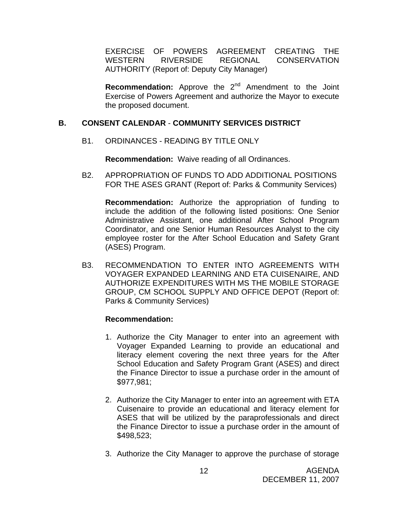EXERCISE OF POWERS AGREEMENT CREATING THE WESTERN RIVERSIDE REGIONAL CONSERVATION AUTHORITY (Report of: Deputy City Manager)

**Recommendation:** Approve the 2<sup>nd</sup> Amendment to the Joint Exercise of Powers Agreement and authorize the Mayor to execute the proposed document.

#### **B. CONSENT CALENDAR** - **COMMUNITY SERVICES DISTRICT**

B1. ORDINANCES - READING BY TITLE ONLY

**Recommendation:** Waive reading of all Ordinances.

B2. APPROPRIATION OF FUNDS TO ADD ADDITIONAL POSITIONS FOR THE ASES GRANT (Report of: Parks & Community Services)

**Recommendation:** Authorize the appropriation of funding to include the addition of the following listed positions: One Senior Administrative Assistant, one additional After School Program Coordinator, and one Senior Human Resources Analyst to the city employee roster for the After School Education and Safety Grant (ASES) Program.

B3. RECOMMENDATION TO ENTER INTO AGREEMENTS WITH VOYAGER EXPANDED LEARNING AND ETA CUISENAIRE, AND AUTHORIZE EXPENDITURES WITH MS THE MOBILE STORAGE GROUP, CM SCHOOL SUPPLY AND OFFICE DEPOT (Report of: Parks & Community Services)

# **Recommendation:**

- 1. Authorize the City Manager to enter into an agreement with Voyager Expanded Learning to provide an educational and literacy element covering the next three years for the After School Education and Safety Program Grant (ASES) and direct the Finance Director to issue a purchase order in the amount of \$977,981;
- 2. Authorize the City Manager to enter into an agreement with ETA Cuisenaire to provide an educational and literacy element for ASES that will be utilized by the paraprofessionals and direct the Finance Director to issue a purchase order in the amount of \$498,523;
- 3. Authorize the City Manager to approve the purchase of storage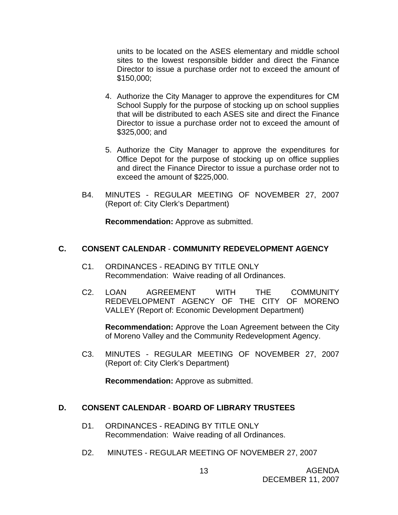units to be located on the ASES elementary and middle school sites to the lowest responsible bidder and direct the Finance Director to issue a purchase order not to exceed the amount of \$150,000;

- 4. Authorize the City Manager to approve the expenditures for CM School Supply for the purpose of stocking up on school supplies that will be distributed to each ASES site and direct the Finance Director to issue a purchase order not to exceed the amount of \$325,000; and
- 5. Authorize the City Manager to approve the expenditures for Office Depot for the purpose of stocking up on office supplies and direct the Finance Director to issue a purchase order not to exceed the amount of \$225,000.
- B4. MINUTES REGULAR MEETING OF NOVEMBER 27, 2007 (Report of: City Clerk's Department)

**Recommendation:** Approve as submitted.

#### **C. CONSENT CALENDAR** - **COMMUNITY REDEVELOPMENT AGENCY**

- C1. ORDINANCES READING BY TITLE ONLY Recommendation: Waive reading of all Ordinances.
- C2. LOAN AGREEMENT WITH THE COMMUNITY REDEVELOPMENT AGENCY OF THE CITY OF MORENO VALLEY (Report of: Economic Development Department)

**Recommendation:** Approve the Loan Agreement between the City of Moreno Valley and the Community Redevelopment Agency.

C3. MINUTES - REGULAR MEETING OF NOVEMBER 27, 2007 (Report of: City Clerk's Department)

**Recommendation:** Approve as submitted.

#### **D. CONSENT CALENDAR** - **BOARD OF LIBRARY TRUSTEES**

- D1. ORDINANCES READING BY TITLE ONLY Recommendation: Waive reading of all Ordinances.
- D2. MINUTES REGULAR MEETING OF NOVEMBER 27, 2007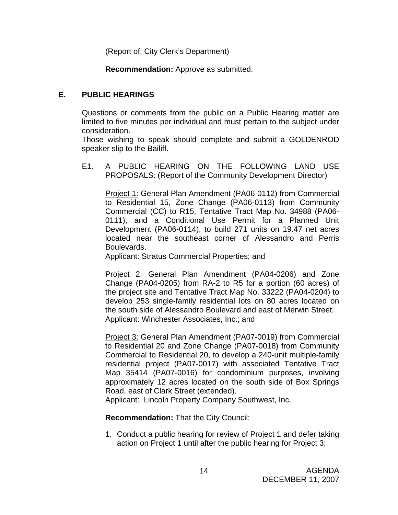(Report of: City Clerk's Department)

**Recommendation:** Approve as submitted.

# **E. PUBLIC HEARINGS**

Questions or comments from the public on a Public Hearing matter are limited to five minutes per individual and must pertain to the subject under consideration.

 Those wishing to speak should complete and submit a GOLDENROD speaker slip to the Bailiff.

E1. A PUBLIC HEARING ON THE FOLLOWING LAND USE PROPOSALS: (Report of the Community Development Director)

Project 1: General Plan Amendment (PA06-0112) from Commercial to Residential 15, Zone Change (PA06-0113) from Community Commercial (CC) to R15, Tentative Tract Map No. 34988 (PA06- 0111), and a Conditional Use Permit for a Planned Unit Development (PA06-0114), to build 271 units on 19.47 net acres located near the southeast corner of Alessandro and Perris Boulevards.

Applicant: Stratus Commercial Properties; and

 Project 2: General Plan Amendment (PA04-0206) and Zone Change (PA04-0205) from RA-2 to R5 for a portion (60 acres) of the project site and Tentative Tract Map No. 33222 (PA04-0204) to develop 253 single-family residential lots on 80 acres located on the south side of Alessandro Boulevard and east of Merwin Street. Applicant: Winchester Associates, Inc.; and

 Project 3: General Plan Amendment (PA07-0019) from Commercial to Residential 20 and Zone Change (PA07-0018) from Community Commercial to Residential 20, to develop a 240-unit multiple-family residential project (PA07-0017) with associated Tentative Tract Map 35414 (PA07-0016) for condominium purposes, involving approximately 12 acres located on the south side of Box Springs Road, east of Clark Street (extended).

Applicant: Lincoln Property Company Southwest, Inc.

**Recommendation:** That the City Council:

1. Conduct a public hearing for review of Project 1 and defer taking action on Project 1 until after the public hearing for Project 3;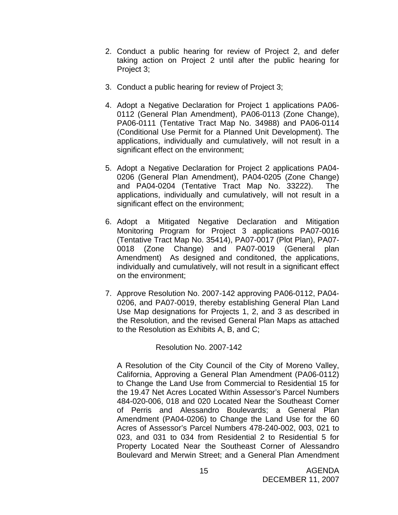- 2. Conduct a public hearing for review of Project 2, and defer taking action on Project 2 until after the public hearing for Project 3;
- 3. Conduct a public hearing for review of Project 3;
- 4. Adopt a Negative Declaration for Project 1 applications PA06- 0112 (General Plan Amendment), PA06-0113 (Zone Change), PA06-0111 (Tentative Tract Map No. 34988) and PA06-0114 (Conditional Use Permit for a Planned Unit Development). The applications, individually and cumulatively, will not result in a significant effect on the environment;
- 5. Adopt a Negative Declaration for Project 2 applications PA04- 0206 (General Plan Amendment), PA04-0205 (Zone Change) and PA04-0204 (Tentative Tract Map No. 33222). The applications, individually and cumulatively, will not result in a significant effect on the environment;
- 6. Adopt a Mitigated Negative Declaration and Mitigation Monitoring Program for Project 3 applications PA07-0016 (Tentative Tract Map No. 35414), PA07-0017 (Plot Plan), PA07- 0018 (Zone Change) and PA07-0019 (General plan Amendment) As designed and conditoned, the applications, individually and cumulatively, will not result in a significant effect on the environment;
- 7. Approve Resolution No. 2007-142 approving PA06-0112, PA04- 0206, and PA07-0019, thereby establishing General Plan Land Use Map designations for Projects 1, 2, and 3 as described in the Resolution, and the revised General Plan Maps as attached to the Resolution as Exhibits A, B, and C;

Resolution No. 2007-142

A Resolution of the City Council of the City of Moreno Valley, California, Approving a General Plan Amendment (PA06-0112) to Change the Land Use from Commercial to Residential 15 for the 19.47 Net Acres Located Within Assessor's Parcel Numbers 484-020-006, 018 and 020 Located Near the Southeast Corner of Perris and Alessandro Boulevards; a General Plan Amendment (PA04-0206) to Change the Land Use for the 60 Acres of Assessor's Parcel Numbers 478-240-002, 003, 021 to 023, and 031 to 034 from Residential 2 to Residential 5 for Property Located Near the Southeast Corner of Alessandro Boulevard and Merwin Street; and a General Plan Amendment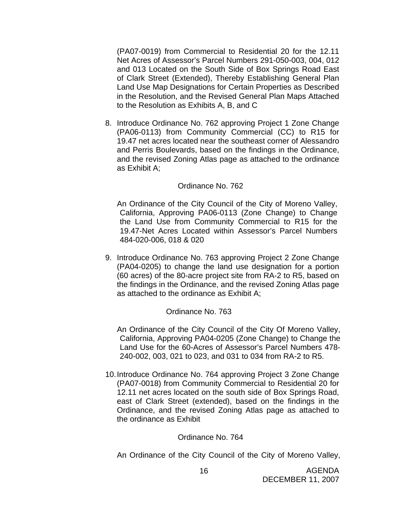(PA07-0019) from Commercial to Residential 20 for the 12.11 Net Acres of Assessor's Parcel Numbers 291-050-003, 004, 012 and 013 Located on the South Side of Box Springs Road East of Clark Street (Extended), Thereby Establishing General Plan Land Use Map Designations for Certain Properties as Described in the Resolution, and the Revised General Plan Maps Attached to the Resolution as Exhibits A, B, and C

8. Introduce Ordinance No. 762 approving Project 1 Zone Change (PA06-0113) from Community Commercial (CC) to R15 for 19.47 net acres located near the southeast corner of Alessandro and Perris Boulevards, based on the findings in the Ordinance, and the revised Zoning Atlas page as attached to the ordinance as Exhibit A;

#### Ordinance No. 762

An Ordinance of the City Council of the City of Moreno Valley, California, Approving PA06-0113 (Zone Change) to Change the Land Use from Community Commercial to R15 for the 19.47-Net Acres Located within Assessor's Parcel Numbers 484-020-006, 018 & 020

9. Introduce Ordinance No. 763 approving Project 2 Zone Change (PA04-0205) to change the land use designation for a portion (60 acres) of the 80-acre project site from RA-2 to R5, based on the findings in the Ordinance, and the revised Zoning Atlas page as attached to the ordinance as Exhibit A;

#### Ordinance No. 763

An Ordinance of the City Council of the City Of Moreno Valley, California, Approving PA04-0205 (Zone Change) to Change the Land Use for the 60-Acres of Assessor's Parcel Numbers 478- 240-002, 003, 021 to 023, and 031 to 034 from RA-2 to R5.

10. Introduce Ordinance No. 764 approving Project 3 Zone Change (PA07-0018) from Community Commercial to Residential 20 for 12.11 net acres located on the south side of Box Springs Road, east of Clark Street (extended), based on the findings in the Ordinance, and the revised Zoning Atlas page as attached to the ordinance as Exhibit

#### Ordinance No. 764

An Ordinance of the City Council of the City of Moreno Valley,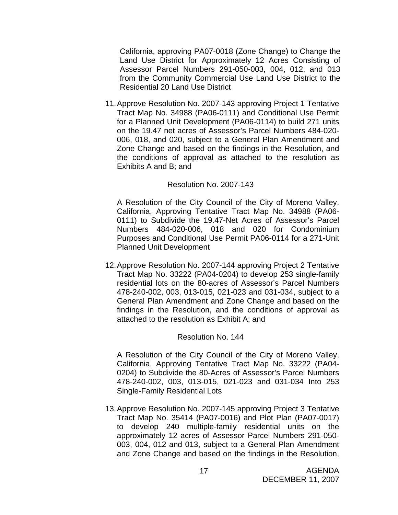California, approving PA07-0018 (Zone Change) to Change the Land Use District for Approximately 12 Acres Consisting of Assessor Parcel Numbers 291-050-003, 004, 012, and 013 from the Community Commercial Use Land Use District to the Residential 20 Land Use District

11. Approve Resolution No. 2007-143 approving Project 1 Tentative Tract Map No. 34988 (PA06-0111) and Conditional Use Permit for a Planned Unit Development (PA06-0114) to build 271 units on the 19.47 net acres of Assessor's Parcel Numbers 484-020- 006, 018, and 020, subject to a General Plan Amendment and Zone Change and based on the findings in the Resolution, and the conditions of approval as attached to the resolution as Exhibits A and B; and

#### Resolution No. 2007-143

A Resolution of the City Council of the City of Moreno Valley, California, Approving Tentative Tract Map No. 34988 (PA06- 0111) to Subdivide the 19.47-Net Acres of Assessor's Parcel Numbers 484-020-006, 018 and 020 for Condominium Purposes and Conditional Use Permit PA06-0114 for a 271-Unit Planned Unit Development

12. Approve Resolution No. 2007-144 approving Project 2 Tentative Tract Map No. 33222 (PA04-0204) to develop 253 single-family residential lots on the 80-acres of Assessor's Parcel Numbers 478-240-002, 003, 013-015, 021-023 and 031-034, subject to a General Plan Amendment and Zone Change and based on the findings in the Resolution, and the conditions of approval as attached to the resolution as Exhibit A; and

#### Resolution No. 144

A Resolution of the City Council of the City of Moreno Valley, California, Approving Tentative Tract Map No. 33222 (PA04- 0204) to Subdivide the 80-Acres of Assessor's Parcel Numbers 478-240-002, 003, 013-015, 021-023 and 031-034 Into 253 Single-Family Residential Lots

13. Approve Resolution No. 2007-145 approving Project 3 Tentative Tract Map No. 35414 (PA07-0016) and Plot Plan (PA07-0017) to develop 240 multiple-family residential units on the approximately 12 acres of Assessor Parcel Numbers 291-050- 003, 004, 012 and 013, subject to a General Plan Amendment and Zone Change and based on the findings in the Resolution,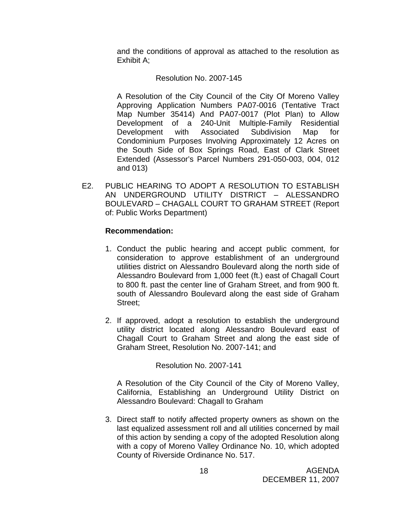and the conditions of approval as attached to the resolution as Exhibit A;

#### Resolution No. 2007-145

A Resolution of the City Council of the City Of Moreno Valley Approving Application Numbers PA07-0016 (Tentative Tract Map Number 35414) And PA07-0017 (Plot Plan) to Allow Development of a 240-Unit Multiple-Family Residential Development with Associated Subdivision Map for Condominium Purposes Involving Approximately 12 Acres on the South Side of Box Springs Road, East of Clark Street Extended (Assessor's Parcel Numbers 291-050-003, 004, 012 and 013)

E2. PUBLIC HEARING TO ADOPT A RESOLUTION TO ESTABLISH AN UNDERGROUND UTILITY DISTRICT – ALESSANDRO BOULEVARD – CHAGALL COURT TO GRAHAM STREET (Report of: Public Works Department)

#### **Recommendation:**

- 1. Conduct the public hearing and accept public comment, for consideration to approve establishment of an underground utilities district on Alessandro Boulevard along the north side of Alessandro Boulevard from 1,000 feet (ft.) east of Chagall Court to 800 ft. past the center line of Graham Street, and from 900 ft. south of Alessandro Boulevard along the east side of Graham Street;
- 2. If approved, adopt a resolution to establish the underground utility district located along Alessandro Boulevard east of Chagall Court to Graham Street and along the east side of Graham Street, Resolution No. 2007-141; and

Resolution No. 2007-141

A Resolution of the City Council of the City of Moreno Valley, California, Establishing an Underground Utility District on Alessandro Boulevard: Chagall to Graham

3. Direct staff to notify affected property owners as shown on the last equalized assessment roll and all utilities concerned by mail of this action by sending a copy of the adopted Resolution along with a copy of Moreno Valley Ordinance No. 10, which adopted County of Riverside Ordinance No. 517.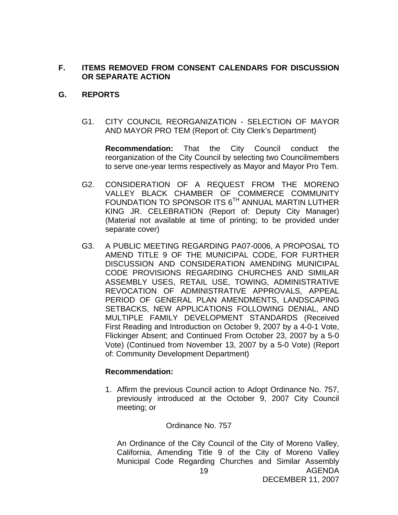#### **F. ITEMS REMOVED FROM CONSENT CALENDARS FOR DISCUSSION OR SEPARATE ACTION**

#### **G. REPORTS**

G1. CITY COUNCIL REORGANIZATION - SELECTION OF MAYOR AND MAYOR PRO TEM (Report of: City Clerk's Department)

**Recommendation:** That the City Council conduct the reorganization of the City Council by selecting two Councilmembers to serve one-year terms respectively as Mayor and Mayor Pro Tem.

- G2. CONSIDERATION OF A REQUEST FROM THE MORENO VALLEY BLACK CHAMBER OF COMMERCE COMMUNITY FOUNDATION TO SPONSOR ITS 6<sup>TH</sup> ANNUAL MARTIN LUTHER KING JR. CELEBRATION (Report of: Deputy City Manager) (Material not available at time of printing; to be provided under separate cover)
- G3. A PUBLIC MEETING REGARDING PA07-0006, A PROPOSAL TO AMEND TITLE 9 OF THE MUNICIPAL CODE, FOR FURTHER DISCUSSION AND CONSIDERATION AMENDING MUNICIPAL CODE PROVISIONS REGARDING CHURCHES AND SIMILAR ASSEMBLY USES, RETAIL USE, TOWING, ADMINISTRATIVE REVOCATION OF ADMINISTRATIVE APPROVALS, APPEAL PERIOD OF GENERAL PLAN AMENDMENTS, LANDSCAPING SETBACKS, NEW APPLICATIONS FOLLOWING DENIAL, AND MULTIPLE FAMILY DEVELOPMENT STANDARDS (Received First Reading and Introduction on October 9, 2007 by a 4-0-1 Vote, Flickinger Absent; and Continued From October 23, 2007 by a 5-0 Vote) (Continued from November 13, 2007 by a 5-0 Vote) (Report of: Community Development Department)

#### **Recommendation:**

1. Affirm the previous Council action to Adopt Ordinance No. 757, previously introduced at the October 9, 2007 City Council meeting; or

#### Ordinance No. 757

AGENDA 19 An Ordinance of the City Council of the City of Moreno Valley, California, Amending Title 9 of the City of Moreno Valley Municipal Code Regarding Churches and Similar Assembly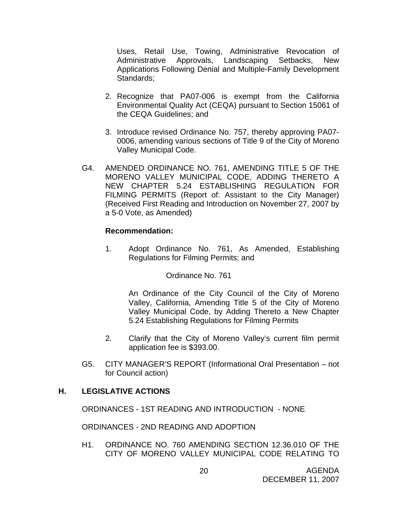Uses, Retail Use, Towing, Administrative Revocation of Administrative Approvals, Landscaping Setbacks, New Applications Following Denial and Multiple-Family Development Standards;

- 2. Recognize that PA07-006 is exempt from the California Environmental Quality Act (CEQA) pursuant to Section 15061 of the CEQA Guidelines; and
- 3. Introduce revised Ordinance No. 757, thereby approving PA07- 0006, amending various sections of Title 9 of the City of Moreno Valley Municipal Code.
- G4. AMENDED ORDINANCE NO. 761, AMENDING TITLE 5 OF THE MORENO VALLEY MUNICIPAL CODE, ADDING THERETO A NEW CHAPTER 5.24 ESTABLISHING REGULATION FOR FILMING PERMITS (Report of: Assistant to the City Manager) (Received First Reading and Introduction on November 27, 2007 by a 5-0 Vote, as Amended)

#### **Recommendation:**

1. Adopt Ordinance No. 761, As Amended, Establishing Regulations for Filming Permits; and

#### Ordinance No. 761

An Ordinance of the City Council of the City of Moreno Valley, California, Amending Title 5 of the City of Moreno Valley Municipal Code, by Adding Thereto a New Chapter 5.24 Establishing Regulations for Filming Permits

- 2. Clarify that the City of Moreno Valley's current film permit application fee is \$393.00.
- G5. CITY MANAGER'S REPORT (Informational Oral Presentation not for Council action)

#### **H. LEGISLATIVE ACTIONS**

ORDINANCES - 1ST READING AND INTRODUCTION - NONE

ORDINANCES - 2ND READING AND ADOPTION

H1. ORDINANCE NO. 760 AMENDING SECTION 12.36.010 OF THE CITY OF MORENO VALLEY MUNICIPAL CODE RELATING TO

AGENDA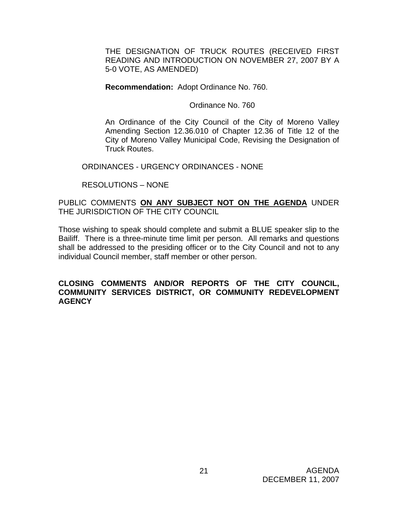THE DESIGNATION OF TRUCK ROUTES (RECEIVED FIRST READING AND INTRODUCTION ON NOVEMBER 27, 2007 BY A 5-0 VOTE, AS AMENDED)

**Recommendation:** Adopt Ordinance No. 760.

Ordinance No. 760

An Ordinance of the City Council of the City of Moreno Valley Amending Section 12.36.010 of Chapter 12.36 of Title 12 of the City of Moreno Valley Municipal Code, Revising the Designation of Truck Routes.

ORDINANCES - URGENCY ORDINANCES - NONE

RESOLUTIONS – NONE

#### PUBLIC COMMENTS **ON ANY SUBJECT NOT ON THE AGENDA** UNDER THE JURISDICTION OF THE CITY COUNCIL

Those wishing to speak should complete and submit a BLUE speaker slip to the Bailiff. There is a three-minute time limit per person. All remarks and questions shall be addressed to the presiding officer or to the City Council and not to any individual Council member, staff member or other person.

#### **CLOSING COMMENTS AND/OR REPORTS OF THE CITY COUNCIL, COMMUNITY SERVICES DISTRICT, OR COMMUNITY REDEVELOPMENT AGENCY**